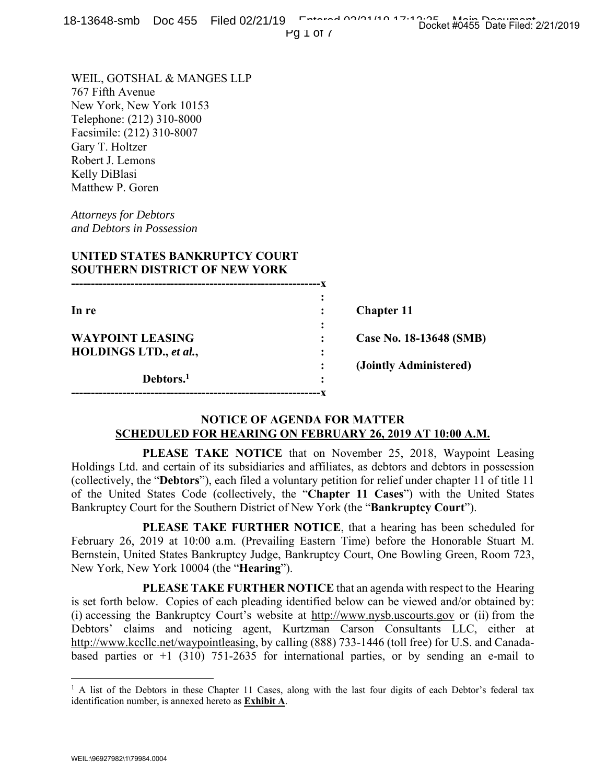Pg 1 of 7

WEIL, GOTSHAL & MANGES LLP 767 Fifth Avenue New York, New York 10153 Telephone: (212) 310-8000 Facsimile: (212) 310-8007 Gary T. Holtzer Robert J. Lemons Kelly DiBlasi Matthew P. Goren

*Attorneys for Debtors and Debtors in Possession* 

|   | <b>Chapter 11</b>       |
|---|-------------------------|
| ٠ |                         |
|   | Case No. 18-13648 (SMB) |
|   |                         |
|   | (Jointly Administered)  |
|   |                         |
|   |                         |

## **NOTICE OF AGENDA FOR MATTER SCHEDULED FOR HEARING ON FEBRUARY 26, 2019 AT 10:00 A.M.**

**---------------------------------------------------------------x** 

 **PLEASE TAKE NOTICE** that on November 25, 2018, Waypoint Leasing Holdings Ltd. and certain of its subsidiaries and affiliates, as debtors and debtors in possession (collectively, the "**Debtors**"), each filed a voluntary petition for relief under chapter 11 of title 11 of the United States Code (collectively, the "**Chapter 11 Cases**") with the United States Bankruptcy Court for the Southern District of New York (the "**Bankruptcy Court**").

 **PLEASE TAKE FURTHER NOTICE**, that a hearing has been scheduled for February 26, 2019 at 10:00 a.m. (Prevailing Eastern Time) before the Honorable Stuart M. Bernstein, United States Bankruptcy Judge, Bankruptcy Court, One Bowling Green, Room 723, New York, New York 10004 (the "**Hearing**").

 **PLEASE TAKE FURTHER NOTICE** that an agenda with respect to the Hearing is set forth below. Copies of each pleading identified below can be viewed and/or obtained by: (i) accessing the Bankruptcy Court's website at http://www.nysb.uscourts.gov or (ii) from the Debtors' claims and noticing agent, Kurtzman Carson Consultants LLC, either at http://www.kccllc.net/waypointleasing, by calling (888) 733-1446 (toll free) for U.S. and Canadabased parties or  $+1$  (310) 751-2635 for international parties, or by sending an e-mail to

 $\overline{a}$ 

<sup>&</sup>lt;sup>1</sup> A list of the Debtors in these Chapter 11 Cases, along with the last four digits of each Debtor's federal tax identification number, is annexed hereto as **Exhibit A**.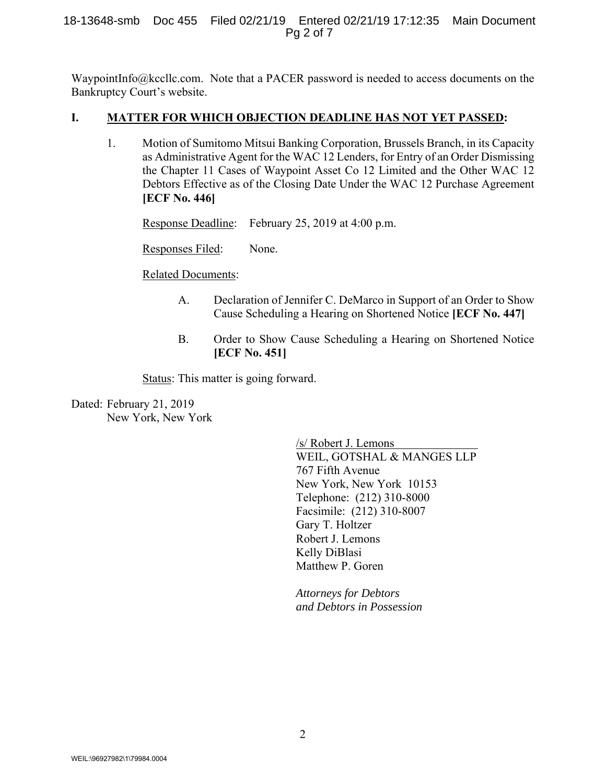#### 18-13648-smb Doc 455 Filed 02/21/19 Entered 02/21/19 17:12:35 Main Document Pg 2 of 7

WaypointInfo@kccllc.com. Note that a PACER password is needed to access documents on the Bankruptcy Court's website.

#### **I. MATTER FOR WHICH OBJECTION DEADLINE HAS NOT YET PASSED:**

1. Motion of Sumitomo Mitsui Banking Corporation, Brussels Branch, in its Capacity as Administrative Agent for the WAC 12 Lenders, for Entry of an Order Dismissing the Chapter 11 Cases of Waypoint Asset Co 12 Limited and the Other WAC 12 Debtors Effective as of the Closing Date Under the WAC 12 Purchase Agreement **[ECF No. 446]**

Response Deadline: February 25, 2019 at 4:00 p.m.

Responses Filed: None.

Related Documents:

- A. Declaration of Jennifer C. DeMarco in Support of an Order to Show Cause Scheduling a Hearing on Shortened Notice **[ECF No. 447]**
- B. Order to Show Cause Scheduling a Hearing on Shortened Notice **[ECF No. 451]**

Status: This matter is going forward.

Dated: February 21, 2019 New York, New York

> /s/ Robert J. Lemons WEIL, GOTSHAL & MANGES LLP 767 Fifth Avenue New York, New York 10153 Telephone: (212) 310-8000 Facsimile: (212) 310-8007 Gary T. Holtzer Robert J. Lemons Kelly DiBlasi Matthew P. Goren

*Attorneys for Debtors and Debtors in Possession*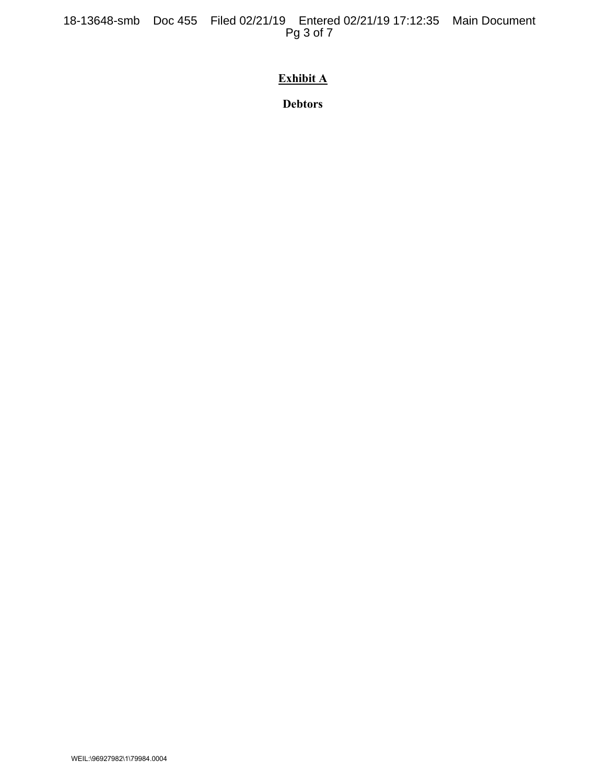18-13648-smb Doc 455 Filed 02/21/19 Entered 02/21/19 17:12:35 Main Document Pg 3 of 7

# **Exhibit A**

**Debtors**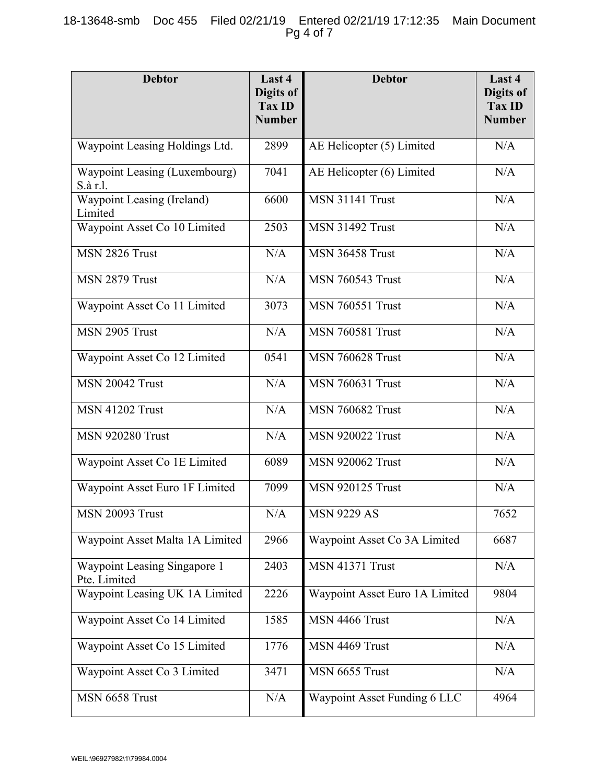#### 18-13648-smb Doc 455 Filed 02/21/19 Entered 02/21/19 17:12:35 Main Document Pg 4 of 7

| <b>Debtor</b>                                | Last 4<br>Digits of<br>Tax ID<br><b>Number</b> | <b>Debtor</b>                  | Last 4<br><b>Digits of</b><br><b>Tax ID</b><br><b>Number</b> |
|----------------------------------------------|------------------------------------------------|--------------------------------|--------------------------------------------------------------|
| Waypoint Leasing Holdings Ltd.               | 2899                                           | AE Helicopter (5) Limited      | N/A                                                          |
| Waypoint Leasing (Luxembourg)<br>S.à r.l.    | 7041                                           | AE Helicopter (6) Limited      | N/A                                                          |
| Waypoint Leasing (Ireland)<br>Limited        | 6600                                           | <b>MSN 31141 Trust</b>         | N/A                                                          |
| Waypoint Asset Co 10 Limited                 | 2503                                           | <b>MSN 31492 Trust</b>         | N/A                                                          |
| MSN 2826 Trust                               | N/A                                            | <b>MSN 36458 Trust</b>         | N/A                                                          |
| MSN 2879 Trust                               | N/A                                            | <b>MSN 760543 Trust</b>        | N/A                                                          |
| Waypoint Asset Co 11 Limited                 | 3073                                           | <b>MSN 760551 Trust</b>        | N/A                                                          |
| MSN 2905 Trust                               | N/A                                            | <b>MSN 760581 Trust</b>        | N/A                                                          |
| Waypoint Asset Co 12 Limited                 | 0541                                           | <b>MSN 760628 Trust</b>        | N/A                                                          |
| <b>MSN 20042 Trust</b>                       | N/A                                            | <b>MSN 760631 Trust</b>        | N/A                                                          |
| <b>MSN 41202 Trust</b>                       | N/A                                            | <b>MSN 760682 Trust</b>        | N/A                                                          |
| <b>MSN 920280 Trust</b>                      | N/A                                            | <b>MSN 920022 Trust</b>        | N/A                                                          |
| Waypoint Asset Co 1E Limited                 | 6089                                           | <b>MSN 920062 Trust</b>        | N/A                                                          |
| Waypoint Asset Euro 1F Limited               | 7099                                           | <b>MSN 920125 Trust</b>        | N/A                                                          |
| <b>MSN 20093 Trust</b>                       | N/A                                            | <b>MSN 9229 AS</b>             | 7652                                                         |
| Waypoint Asset Malta 1A Limited              | 2966                                           | Waypoint Asset Co 3A Limited   | 6687                                                         |
| Waypoint Leasing Singapore 1<br>Pte. Limited | 2403                                           | <b>MSN 41371 Trust</b>         | N/A                                                          |
| Waypoint Leasing UK 1A Limited               | 2226                                           | Waypoint Asset Euro 1A Limited | 9804                                                         |
| Waypoint Asset Co 14 Limited                 | 1585                                           | MSN 4466 Trust                 | N/A                                                          |
| Waypoint Asset Co 15 Limited                 | 1776                                           | MSN 4469 Trust                 | N/A                                                          |
| Waypoint Asset Co 3 Limited                  | 3471                                           | MSN 6655 Trust                 | N/A                                                          |
| MSN 6658 Trust                               | N/A                                            | Waypoint Asset Funding 6 LLC   | 4964                                                         |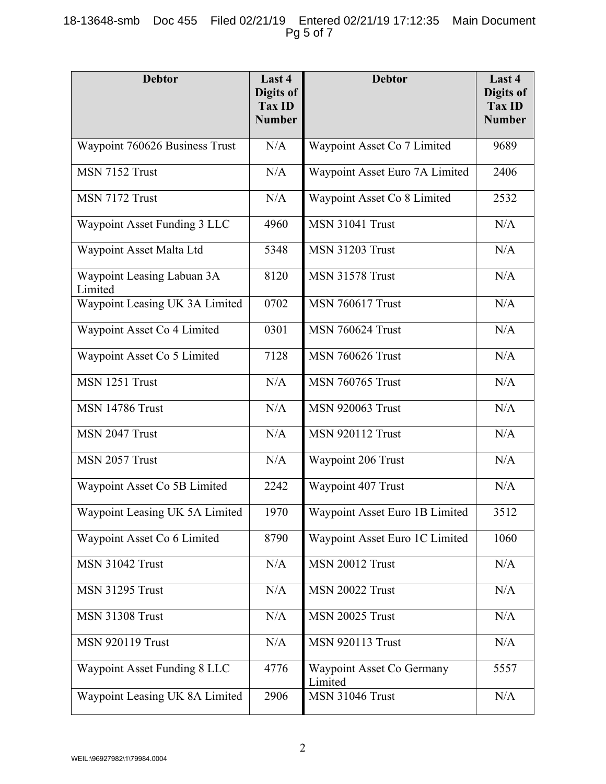## 18-13648-smb Doc 455 Filed 02/21/19 Entered 02/21/19 17:12:35 Main Document Pg 5 of 7

| <b>Debtor</b>                         | Last 4<br><b>Digits of</b><br>Tax ID<br><b>Number</b> | <b>Debtor</b>                        | Last 4<br>Digits of<br><b>Tax ID</b><br><b>Number</b> |
|---------------------------------------|-------------------------------------------------------|--------------------------------------|-------------------------------------------------------|
| Waypoint 760626 Business Trust        | N/A                                                   | Waypoint Asset Co 7 Limited          | 9689                                                  |
| MSN 7152 Trust                        | N/A                                                   | Waypoint Asset Euro 7A Limited       | 2406                                                  |
| MSN 7172 Trust                        | N/A                                                   | Waypoint Asset Co 8 Limited          | 2532                                                  |
| Waypoint Asset Funding 3 LLC          | 4960                                                  | <b>MSN 31041 Trust</b>               | N/A                                                   |
| Waypoint Asset Malta Ltd              | 5348                                                  | <b>MSN 31203 Trust</b>               | N/A                                                   |
| Waypoint Leasing Labuan 3A<br>Limited | 8120                                                  | <b>MSN 31578 Trust</b>               | N/A                                                   |
| Waypoint Leasing UK 3A Limited        | 0702                                                  | <b>MSN 760617 Trust</b>              | N/A                                                   |
| Waypoint Asset Co 4 Limited           | 0301                                                  | <b>MSN 760624 Trust</b>              | N/A                                                   |
| Waypoint Asset Co 5 Limited           | 7128                                                  | <b>MSN 760626 Trust</b>              | N/A                                                   |
| MSN 1251 Trust                        | N/A                                                   | <b>MSN 760765 Trust</b>              | N/A                                                   |
| <b>MSN 14786 Trust</b>                | N/A                                                   | <b>MSN 920063 Trust</b>              | N/A                                                   |
| MSN 2047 Trust                        | N/A                                                   | <b>MSN 920112 Trust</b>              | N/A                                                   |
| MSN 2057 Trust                        | N/A                                                   | Waypoint 206 Trust                   | N/A                                                   |
| Waypoint Asset Co 5B Limited          | 2242                                                  | Waypoint 407 Trust                   | N/A                                                   |
| Waypoint Leasing UK 5A Limited        | 1970                                                  | Waypoint Asset Euro 1B Limited       | 3512                                                  |
| Waypoint Asset Co 6 Limited           | 8790                                                  | Waypoint Asset Euro 1C Limited       | 1060                                                  |
| <b>MSN 31042 Trust</b>                | N/A                                                   | <b>MSN 20012 Trust</b>               | N/A                                                   |
| <b>MSN 31295 Trust</b>                | N/A                                                   | <b>MSN 20022 Trust</b>               | N/A                                                   |
| <b>MSN 31308 Trust</b>                | N/A                                                   | <b>MSN 20025 Trust</b>               | N/A                                                   |
| <b>MSN 920119 Trust</b>               | N/A                                                   | <b>MSN 920113 Trust</b>              | N/A                                                   |
| Waypoint Asset Funding 8 LLC          | 4776                                                  | Waypoint Asset Co Germany<br>Limited | 5557                                                  |
| Waypoint Leasing UK 8A Limited        | 2906                                                  | <b>MSN 31046 Trust</b>               | $\rm N/A$                                             |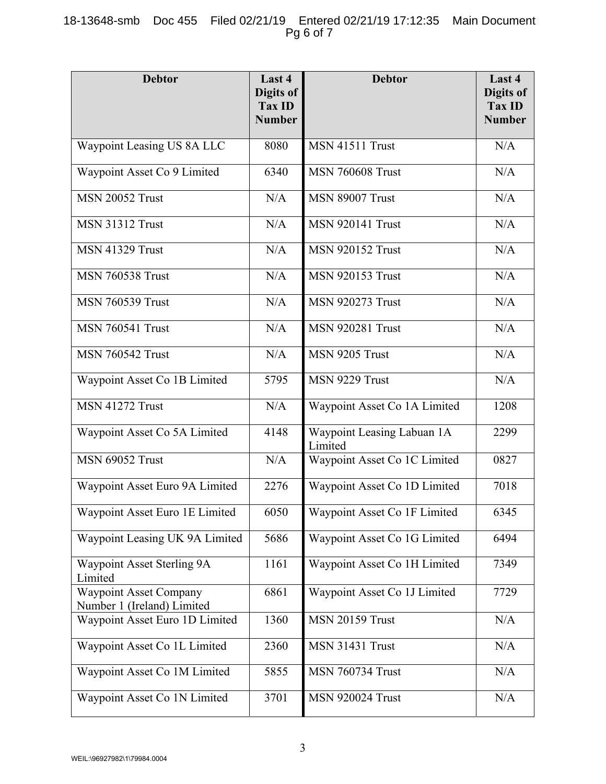## 18-13648-smb Doc 455 Filed 02/21/19 Entered 02/21/19 17:12:35 Main Document Pg 6 of 7

| <b>Debtor</b>                                               | Last 4<br>Digits of<br>Tax ID<br><b>Number</b> | <b>Debtor</b>                         | Last 4<br>Digits of<br>Tax ID<br><b>Number</b> |
|-------------------------------------------------------------|------------------------------------------------|---------------------------------------|------------------------------------------------|
| Waypoint Leasing US 8A LLC                                  | 8080                                           | MSN 41511 Trust                       | N/A                                            |
| Waypoint Asset Co 9 Limited                                 | 6340                                           | <b>MSN 760608 Trust</b>               | N/A                                            |
| <b>MSN 20052 Trust</b>                                      | N/A                                            | <b>MSN 89007 Trust</b>                | N/A                                            |
| <b>MSN 31312 Trust</b>                                      | N/A                                            | <b>MSN 920141 Trust</b>               | N/A                                            |
| <b>MSN 41329 Trust</b>                                      | N/A                                            | <b>MSN 920152 Trust</b>               | N/A                                            |
| <b>MSN 760538 Trust</b>                                     | N/A                                            | <b>MSN 920153 Trust</b>               | N/A                                            |
| <b>MSN 760539 Trust</b>                                     | N/A                                            | <b>MSN 920273 Trust</b>               | N/A                                            |
| <b>MSN 760541 Trust</b>                                     | N/A                                            | <b>MSN 920281 Trust</b>               | N/A                                            |
| <b>MSN 760542 Trust</b>                                     | N/A                                            | MSN 9205 Trust                        | N/A                                            |
| Waypoint Asset Co 1B Limited                                | 5795                                           | MSN 9229 Trust                        | N/A                                            |
| <b>MSN 41272 Trust</b>                                      | N/A                                            | Waypoint Asset Co 1A Limited          | 1208                                           |
| Waypoint Asset Co 5A Limited                                | 4148                                           | Waypoint Leasing Labuan 1A<br>Limited | 2299                                           |
| <b>MSN 69052 Trust</b>                                      | N/A                                            | Waypoint Asset Co 1C Limited          | 0827                                           |
| Waypoint Asset Euro 9A Limited                              | 2276                                           | Waypoint Asset Co 1D Limited          | 7018                                           |
| Waypoint Asset Euro 1E Limited                              | 6050                                           | Waypoint Asset Co 1F Limited          | 6345                                           |
| Waypoint Leasing UK 9A Limited                              | 5686                                           | Waypoint Asset Co 1G Limited          | 6494                                           |
| Waypoint Asset Sterling 9A<br>Limited                       | 1161                                           | Waypoint Asset Co 1H Limited          | 7349                                           |
| <b>Waypoint Asset Company</b><br>Number 1 (Ireland) Limited | 6861                                           | Waypoint Asset Co 1J Limited          | 7729                                           |
| Waypoint Asset Euro 1D Limited                              | 1360                                           | <b>MSN 20159 Trust</b>                | N/A                                            |
| Waypoint Asset Co 1L Limited                                | 2360                                           | <b>MSN 31431 Trust</b>                | N/A                                            |
| Waypoint Asset Co 1M Limited                                | 5855                                           | <b>MSN 760734 Trust</b>               | N/A                                            |
| Waypoint Asset Co 1N Limited                                | 3701                                           | <b>MSN 920024 Trust</b>               | N/A                                            |